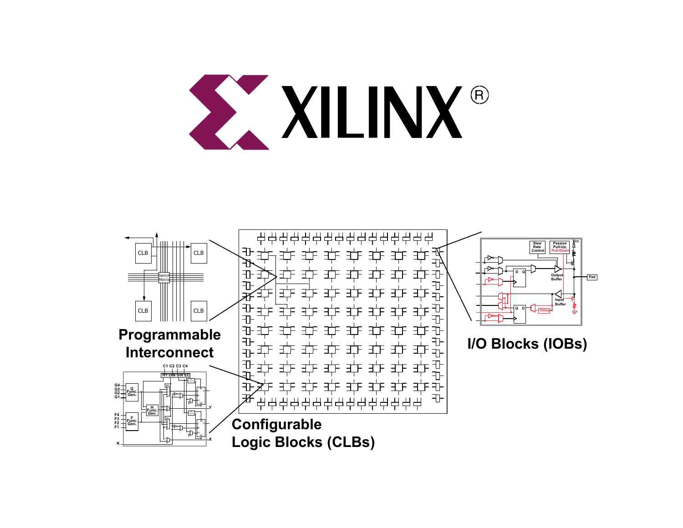

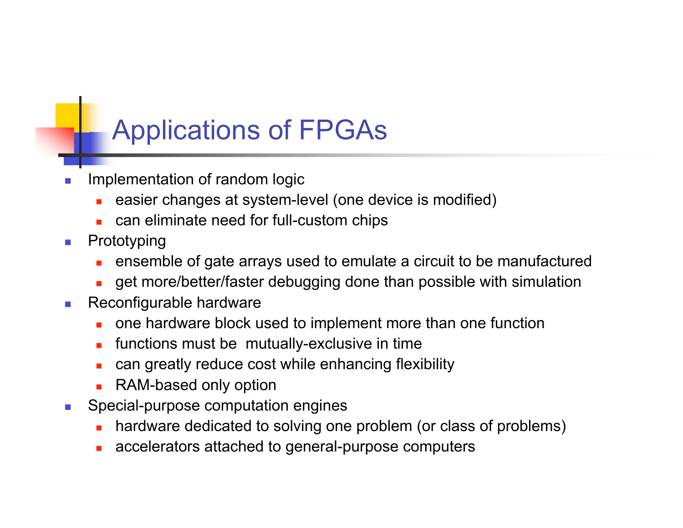## Applications of FPGAs

- Implementation of random logic
	- easier changes at system-level (one device is modified)
	- can eliminate need for full-custom chips
- **n** Prototyping
	- <sup>n</sup> ensemble of gate arrays used to emulate a circuit to be manufactured
	- get more/better/faster debugging done than possible with simulation
- Reconfigurable hardware
	- one hardware block used to implement more than one function
	- $\blacksquare$  functions must be mutually-exclusive in time
	- can greatly reduce cost while enhancing flexibility
	- **RAM-based only option**
- **n** Special-purpose computation engines
	- hardware dedicated to solving one problem (or class of problems)
	- accelerators attached to general-purpose computers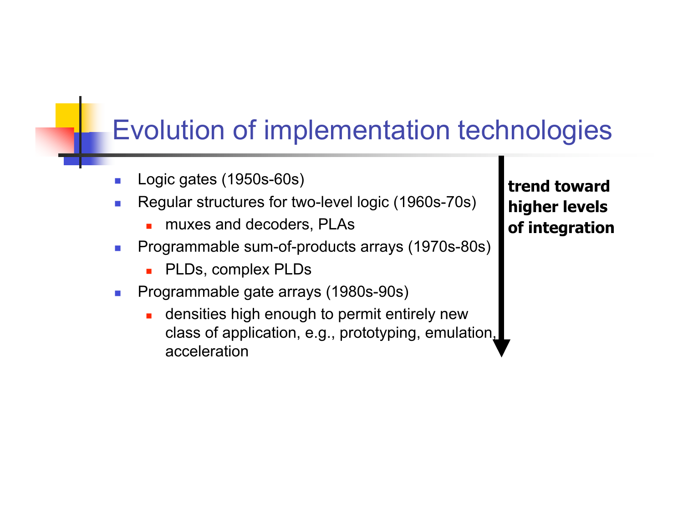## Evolution of implementation technologies

- Logic gates (1950s-60s)
- <sup>n</sup> Regular structures for two-level logic (1960s-70s)
	- **n** muxes and decoders, PLAs
- **Programmable sum-of-products arrays (1970s-80s)** 
	- **n** PLDs, complex PLDs
- **Programmable gate arrays (1980s-90s)** 
	- densities high enough to permit entirely new class of application, e.g., prototyping, emulation, acceleration

**trend toward higher levels of integration**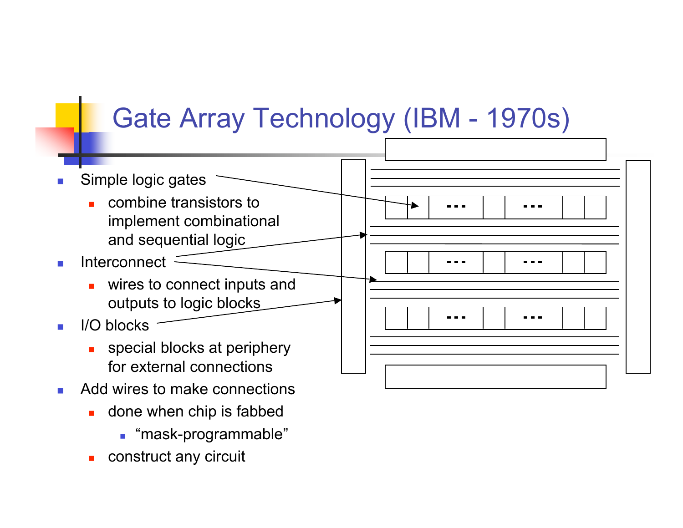## Gate Array Technology (IBM - 1970s)



- **n** Add wires to make connections
	- **n** done when chip is fabbed
		- **n** "mask-programmable"
	- construct any circuit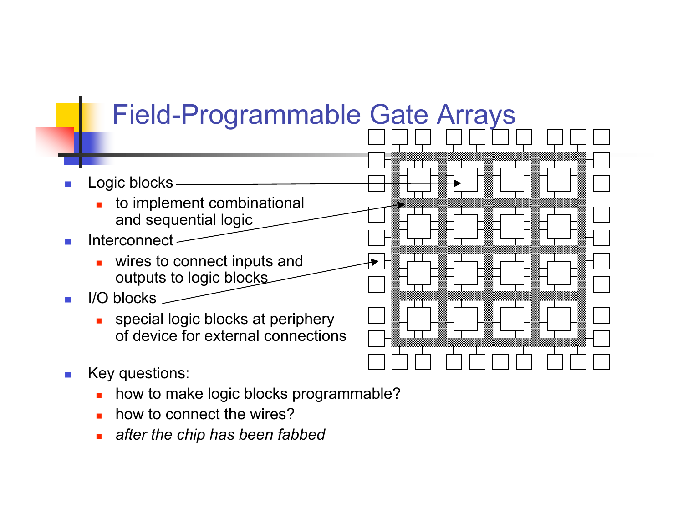## Field-Programmable Gate Arrays

- Logic blocks
	- $\blacksquare$  to implement combinational and sequential logic
- $\blacksquare$  Interconnect -
	- wires to connect inputs and outputs to logic blocks.
- $\blacksquare$  I/O blocks
	- **n** special logic blocks at periphery of device for external connections
- **n** Key questions:
	- n how to make logic blocks programmable?
	- n how to connect the wires?
	- <sup>n</sup> *after the chip has been fabbed*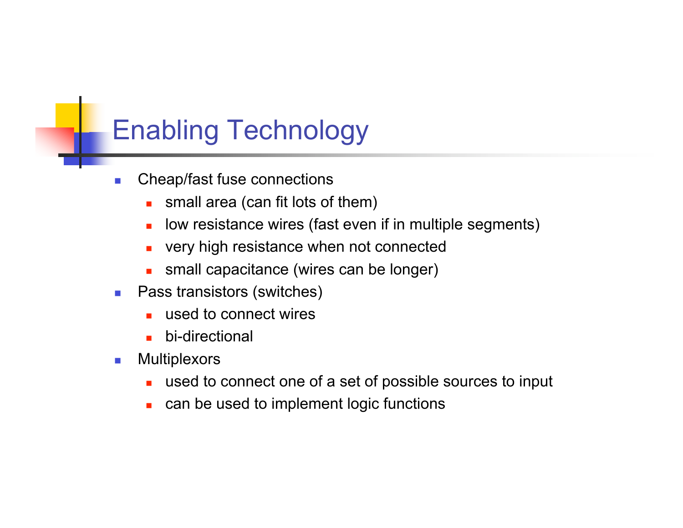## Enabling Technology

- **n** Cheap/fast fuse connections
	- small area (can fit lots of them)
	- **n** low resistance wires (fast even if in multiple segments)
	- very high resistance when not connected
	- **n** small capacitance (wires can be longer)
- **n** Pass transistors (switches)
	- used to connect wires
	- $\blacksquare$  bi-directional
- **n** Multiplexors
	- used to connect one of a set of possible sources to input
	- **n** can be used to implement logic functions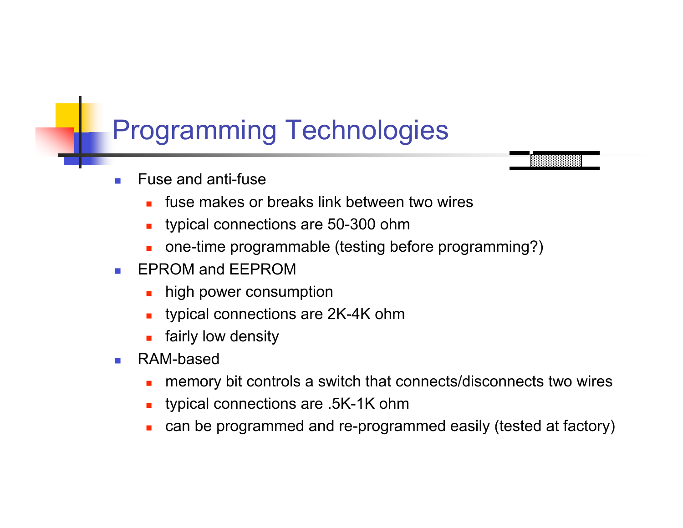## Programming Technologies

- Fuse and anti-fuse
	- fuse makes or breaks link between two wires
	- typical connections are 50-300 ohm
	- one-time programmable (testing before programming?)
- **EPROM and EEPROM** 
	- **n** high power consumption
	- typical connections are 2K-4K ohm
	- $\blacksquare$  fairly low density
- **n** RAM-based
	- n memory bit controls a switch that connects/disconnects two wires
	- <sup>n</sup> typical connections are .5K-1K ohm
	- can be programmed and re-programmed easily (tested at factory)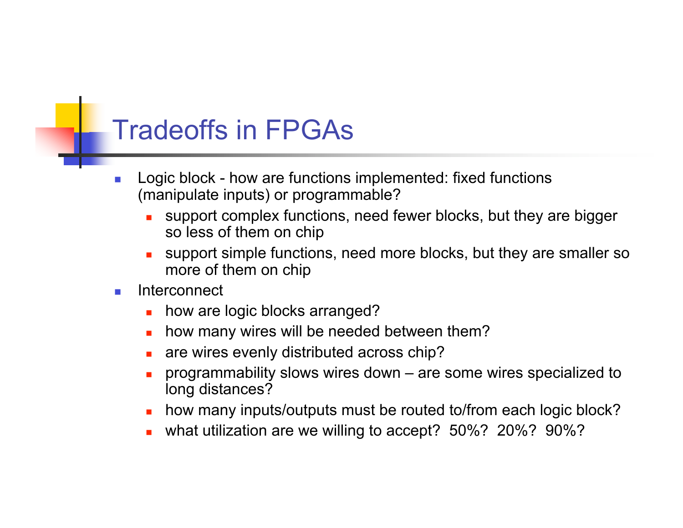## Tradeoffs in FPGAs

- Logic block how are functions implemented: fixed functions (manipulate inputs) or programmable?
	- support complex functions, need fewer blocks, but they are bigger so less of them on chip
	- support simple functions, need more blocks, but they are smaller so more of them on chip
- n Interconnect
	- how are logic blocks arranged?
	- how many wires will be needed between them?
	- are wires evenly distributed across chip?
	- <sup>n</sup> programmability slows wires down are some wires specialized to long distances?
	- how many inputs/outputs must be routed to/from each logic block?
	- what utilization are we willing to accept? 50%? 20%? 90%?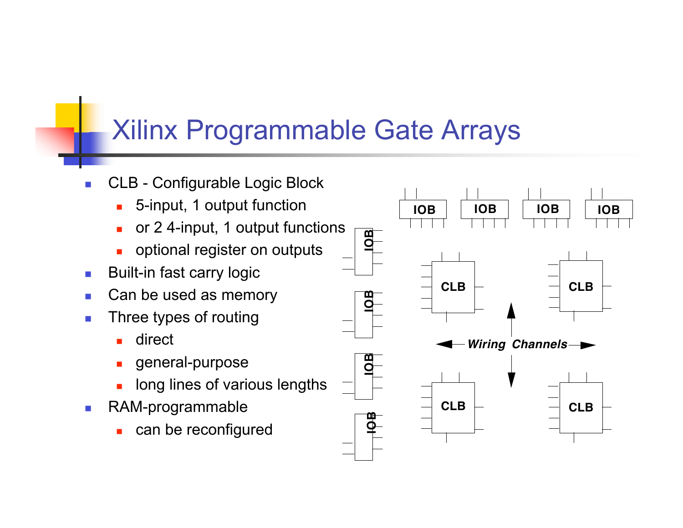## Xilinx Programmable Gate Arrays

- CLB Configurable Logic Block
	- **n** 5-input, 1 output function
	- or 2 4-input, 1 output functions
	- optional register on outputs
- **Built-in fast carry logic**
- $\blacksquare$  Can be used as memory
- $\blacksquare$  Three types of routing
	- direct
	- general-purpose
	- long lines of various lengths
- **RAM-programmable** 
	- can be reconfigured

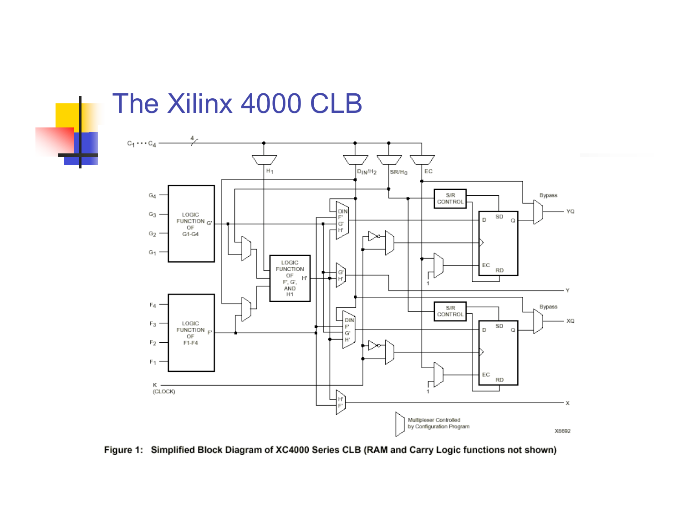

#### The Xilinx 4000 CLB



Figure 1: Simplified Block Diagram of XC4000 Series CLB (RAM and Carry Logic functions not shown)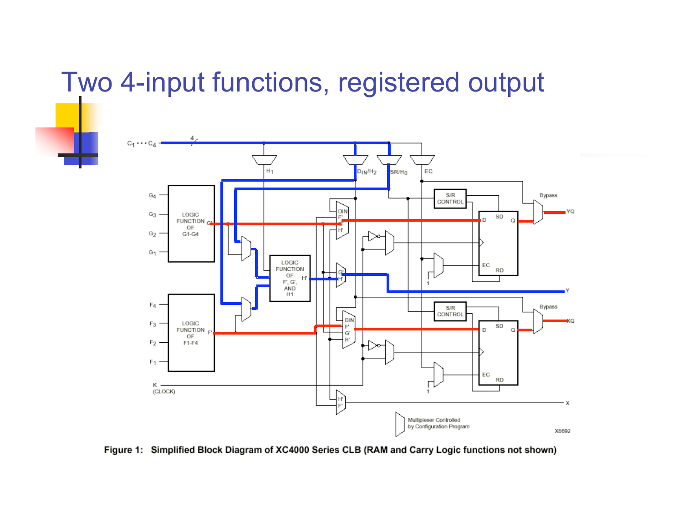## Two 4-input functions, registered output



Figure 1: Simplified Block Diagram of XC4000 Series CLB (RAM and Carry Logic functions not shown)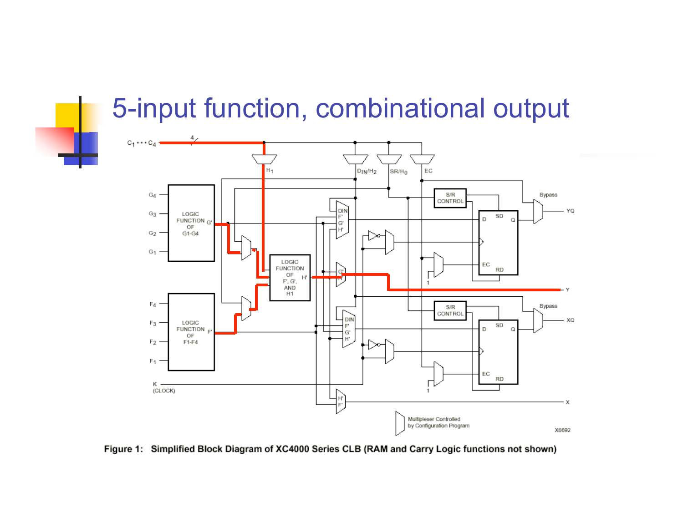## 5-input function, combinational output



Figure 1: Simplified Block Diagram of XC4000 Series CLB (RAM and Carry Logic functions not shown)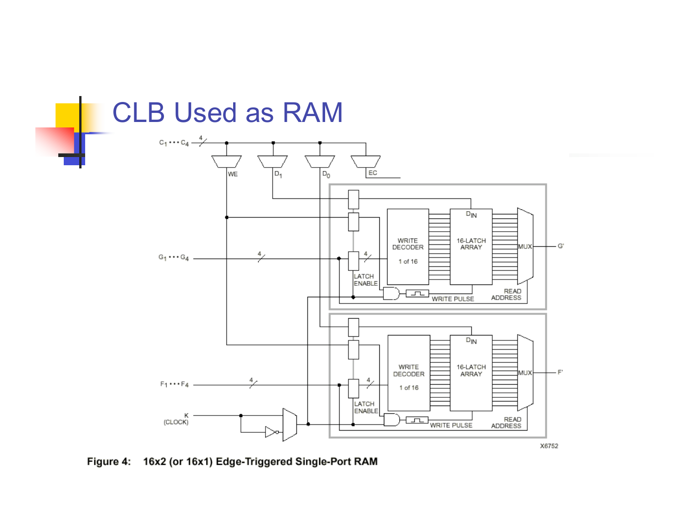

Figure 4: 16x2 (or 16x1) Edge-Triggered Single-Port RAM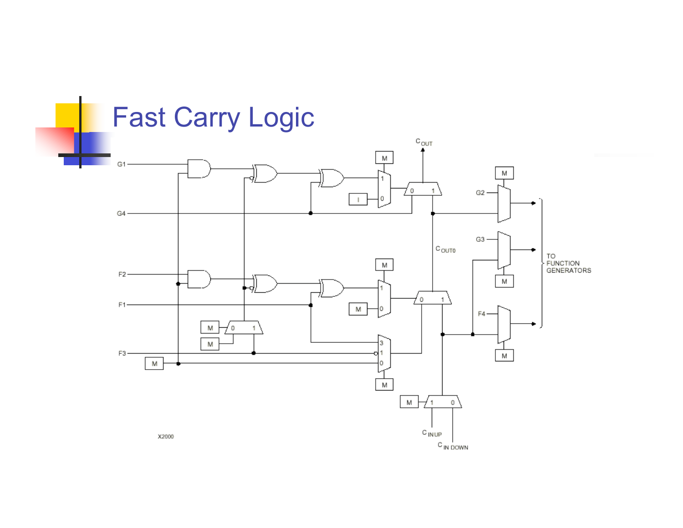![](_page_13_Figure_0.jpeg)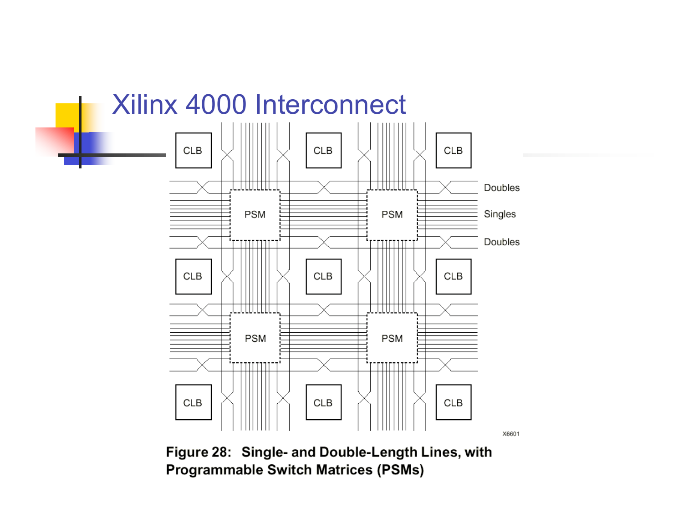![](_page_14_Figure_0.jpeg)

Figure 28: Single- and Double-Length Lines, with **Programmable Switch Matrices (PSMs)**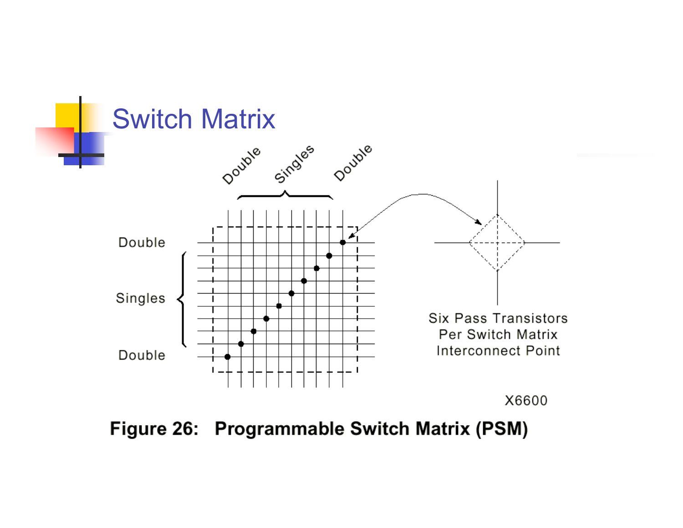![](_page_15_Figure_0.jpeg)

Figure 26: Programmable Switch Matrix (PSM)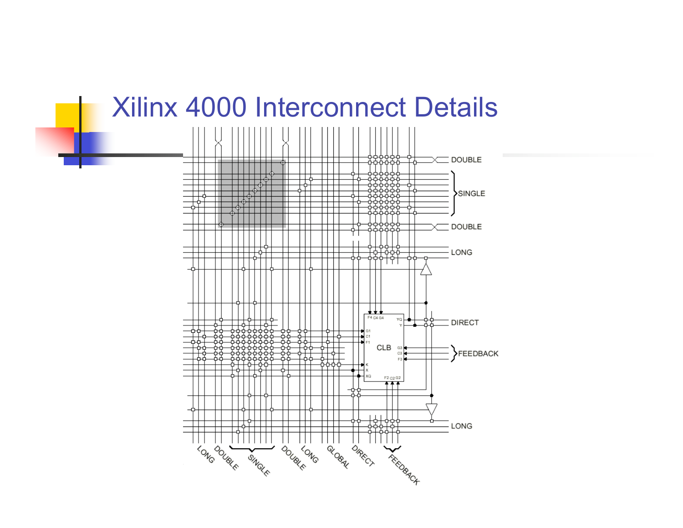#### Xilinx 4000 Interconnect Details

![](_page_16_Figure_1.jpeg)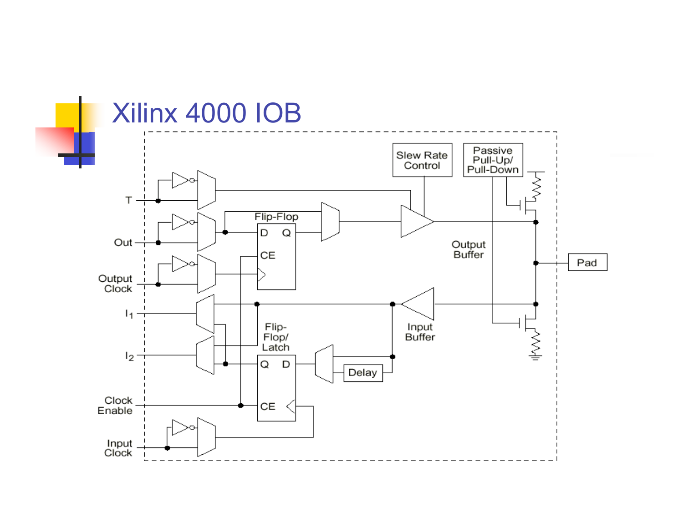![](_page_17_Figure_0.jpeg)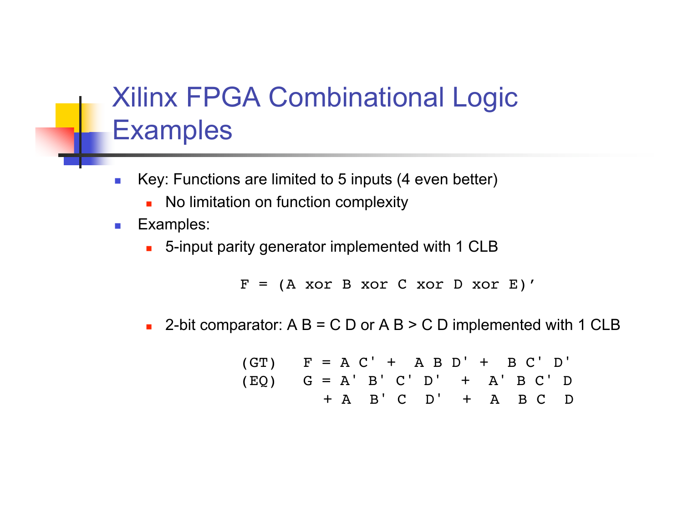# Xilinx FPGA Combinational Logic **Examples**

- Key: Functions are limited to 5 inputs (4 even better)
	- No limitation on function complexity
- **Examples:** 
	- **n** 5-input parity generator implemented with 1 CLB

 $F = (A \times T)$  B xor C xor D xor E)'

**2-bit comparator:** A B = C D or A B > C D implemented with 1 CLB

(GT)

\n
$$
F = A C' + A B D' + B C' D'
$$
\n(EQ)

\n
$$
G = A' B' C' D' + A' B C' D
$$
\n
$$
+ A B' C D' + A B C D
$$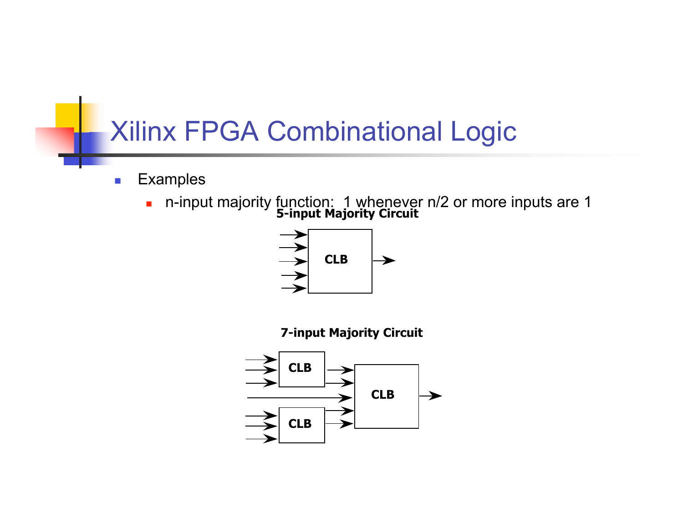## Xilinx FPGA Combinational Logic

- **Examples** 
	- **5-input Majority Circuit** n-input majority function: 1 whenever n/2 or more inputs are 1

![](_page_19_Figure_3.jpeg)

**7-input Majority Circuit**

![](_page_19_Figure_5.jpeg)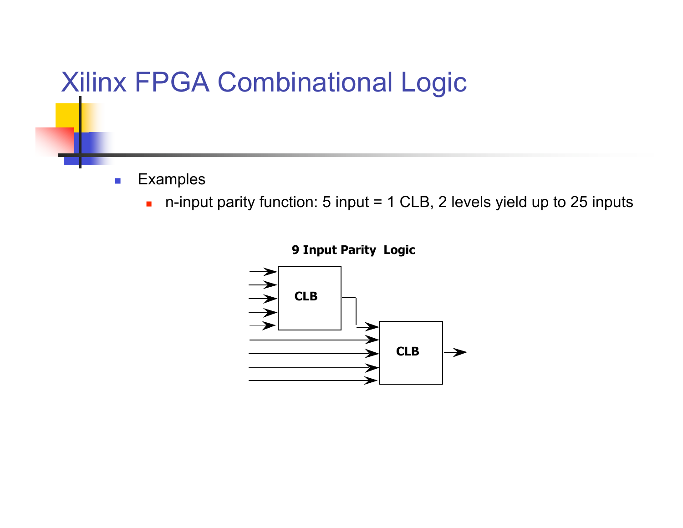## Xilinx FPGA Combinational Logic

- **Examples** 
	- n-input parity function: 5 input = 1 CLB, 2 levels yield up to 25 inputs

![](_page_20_Figure_3.jpeg)

**9 Input Parity Logic**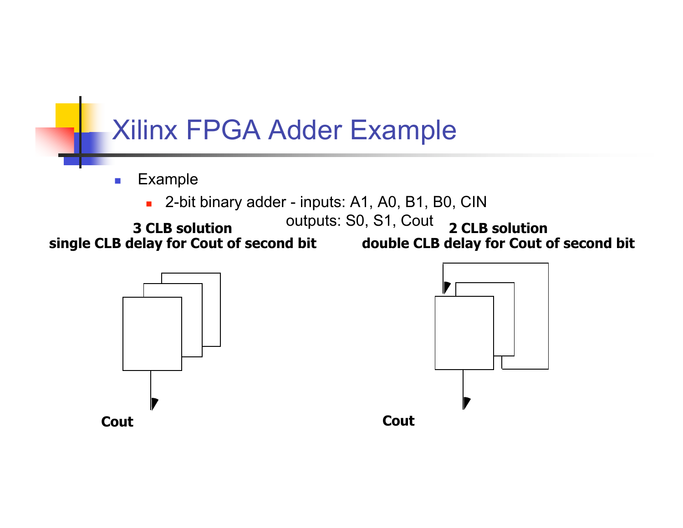![](_page_21_Figure_0.jpeg)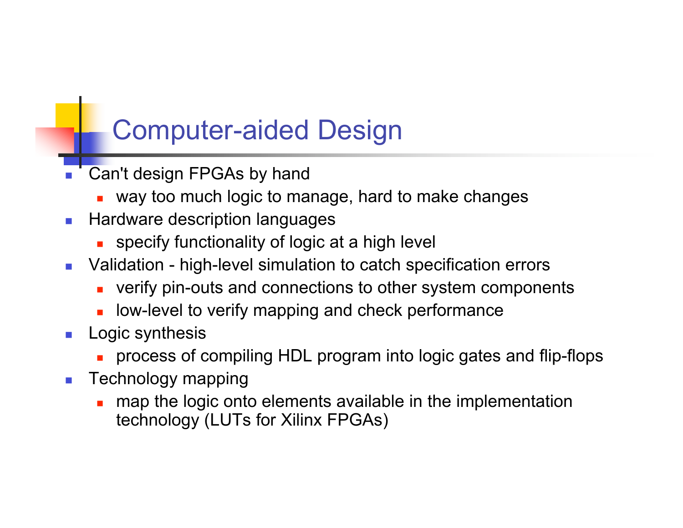## Computer-aided Design

- Can't design FPGAs by hand
	- way too much logic to manage, hard to make changes
- **Hardware description languages** 
	- $\blacksquare$  specify functionality of logic at a high level
- Validation high-level simulation to catch specification errors
	- verify pin-outs and connections to other system components
	- low-level to verify mapping and check performance
- **Logic synthesis** 
	- <sup>n</sup> process of compiling HDL program into logic gates and flip-flops
- $\blacksquare$  Technology mapping
	- map the logic onto elements available in the implementation technology (LUTs for Xilinx FPGAs)